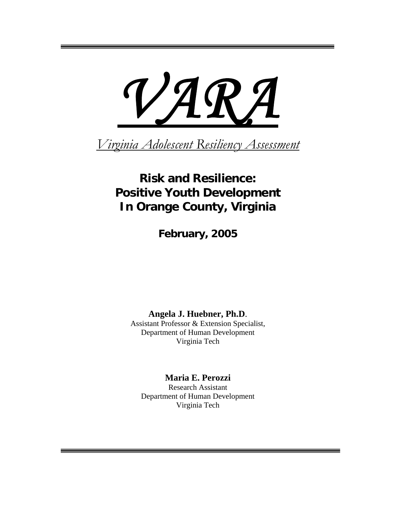# *VARA*

*Virginia Adolescent Resiliency Assessment*

# **Risk and Resilience: Positive Youth Development In Orange County, Virginia**

**February, 2005** 

**Angela J. Huebner, Ph.D**.

Assistant Professor & Extension Specialist, Department of Human Development Virginia Tech

**Maria E. Perozzi**  Research Assistant Department of Human Development Virginia Tech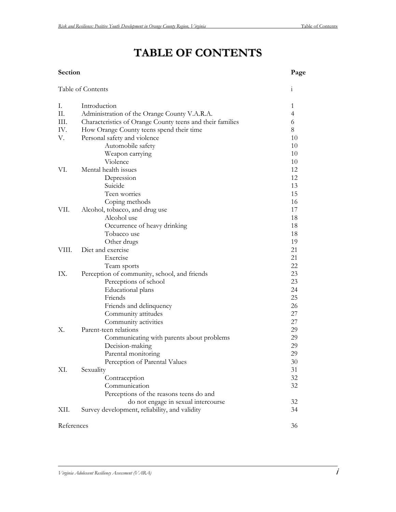# **TABLE OF CONTENTS**

#### **Section Page**

|            | Table of Contents                                         | $\mathbf{i}$   |
|------------|-----------------------------------------------------------|----------------|
| I.         | Introduction                                              | 1              |
| Π.         | Administration of the Orange County V.A.R.A.              | $\overline{4}$ |
| III.       | Characteristics of Orange County teens and their families | 6              |
| IV.        | How Orange County teens spend their time                  | 8              |
| V.         | Personal safety and violence                              | 10             |
|            | Automobile safety                                         | 10             |
|            | Weapon carrying                                           | 10             |
|            | Violence                                                  | 10             |
| VI.        | Mental health issues                                      | 12             |
|            | Depression                                                | 12             |
|            | Suicide                                                   | 13             |
|            | Teen worries                                              | 15             |
|            | Coping methods                                            | 16             |
| VII.       | Alcohol, tobacco, and drug use                            | 17             |
|            | Alcohol use                                               | 18             |
|            | Occurrence of heavy drinking                              | 18             |
|            | Tobacco use                                               | 18             |
|            | Other drugs                                               | 19             |
| VIII.      | Diet and exercise                                         | 21             |
|            | Exercise                                                  | 21             |
|            | Team sports                                               | 22             |
| IX.        | Perception of community, school, and friends              | 23             |
|            | Perceptions of school                                     | 23             |
|            | <b>Educational</b> plans                                  | 24             |
|            | Friends                                                   | 25             |
|            | Friends and delinquency                                   | 26             |
|            | Community attitudes                                       | 27             |
|            | Community activities                                      | 27             |
| X.         | Parent-teen relations                                     | 29             |
|            | Communicating with parents about problems                 | 29             |
|            | Decision-making                                           | 29             |
|            | Parental monitoring                                       | 29             |
|            | Perception of Parental Values                             | 30             |
| XI.        | Sexuality                                                 | 31             |
|            | Contraception                                             | 32             |
|            | Communication                                             | 32             |
|            | Perceptions of the reasons teens do and                   |                |
|            | do not engage in sexual intercourse                       | 32             |
| XII.       | Survey development, reliability, and validity             | 34             |
| References |                                                           | 36             |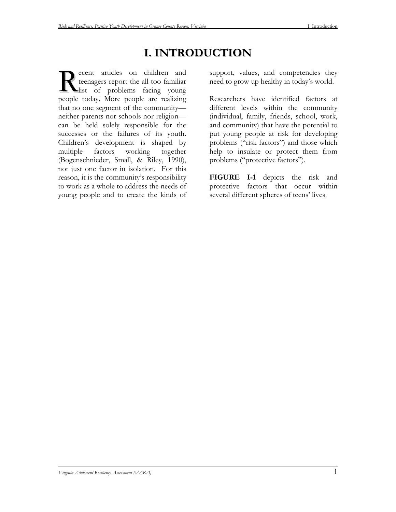# **I. INTRODUCTION**

ece nt articles on children and tee nagers report the all-too-familiar list of problems facing young people to day. More people are realizing that no one segment of the community neither parents nor schools nor religion can be held solely responsible for the successes or the failures of its youth. Children's development is shaped by multiple factors working together (Bogenschnieder, Small, & Riley, 1990), not just one factor in isolation. For this reason, it is the community's responsibility to work as a whole to address the needs of young people and to create the kinds of Support, values, and competencies they<br>
support, values, and competencies they<br>
list of problems facing young<br>
and today Mars need to grow up healthy in today's world.

Researchers have identified factors at different levels within the community (individual, family, friends, school, work, and community) that have the potential to put young people at risk for developing problems ("risk factors") and those which help to insulate or protect them from problems ("protective factors").

**FIGURE I-1** depicts the risk and protective factors that occur within several different spheres of teens' lives.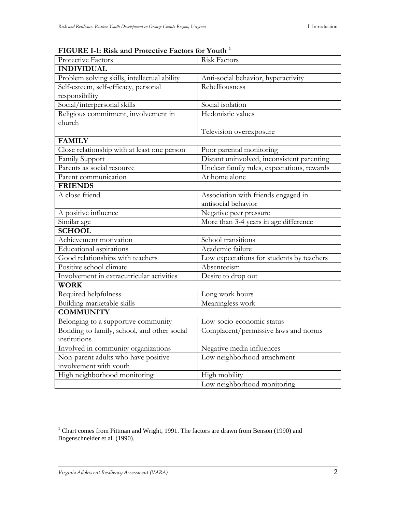| TOORL I-I, RISK and I TORCUVE I actors for Tourn<br>Protective Factors | <b>Risk Factors</b>                         |
|------------------------------------------------------------------------|---------------------------------------------|
| <b>INDIVIDUAL</b>                                                      |                                             |
| Problem solving skills, intellectual ability                           | Anti-social behavior, hyperactivity         |
| Self-esteem, self-efficacy, personal                                   | Rebelliousness                              |
| responsibility                                                         |                                             |
| Social/interpersonal skills                                            | Social isolation                            |
| Religious commitment, involvement in                                   | Hedonistic values                           |
| church                                                                 |                                             |
|                                                                        | Television overexposure                     |
| <b>FAMILY</b>                                                          |                                             |
| Close relationship with at least one person                            | Poor parental monitoring                    |
| Family Support                                                         | Distant uninvolved, inconsistent parenting  |
| Parents as social resource                                             | Unclear family rules, expectations, rewards |
| Parent communication                                                   | At home alone                               |
| <b>FRIENDS</b>                                                         |                                             |
| A close friend                                                         | Association with friends engaged in         |
|                                                                        | antisocial behavior                         |
| A positive influence                                                   | Negative peer pressure                      |
| Similar age                                                            | More than 3-4 years in age difference       |
| <b>SCHOOL</b>                                                          |                                             |
| Achievement motivation                                                 | School transitions                          |
| <b>Educational</b> aspirations                                         | Academic failure                            |
| Good relationships with teachers                                       | Low expectations for students by teachers   |
| Positive school climate                                                | Absenteeism                                 |
| Involvement in extracurricular activities                              | Desire to drop out                          |
| <b>WORK</b>                                                            |                                             |
| Required helpfulness                                                   | Long work hours                             |
| Building marketable skills                                             | Meaningless work                            |
| <b>COMMUNITY</b>                                                       |                                             |
| Belonging to a supportive community                                    | Low-socio-economic status                   |
| Bonding to family, school, and other social                            | Complacent/permissive laws and norms        |
| institutions                                                           |                                             |
| Involved in community organizations                                    | Negative media influences                   |
| Non-parent adults who have positive                                    | Low neighborhood attachment                 |
| involvement with youth                                                 |                                             |
| High neighborhood monitoring                                           | High mobility                               |
|                                                                        | Low neighborhood monitoring                 |

## **FIGURE I-1: Risk and Protective Factors for Youth [1](#page-3-0)**

<span id="page-3-0"></span><sup>&</sup>lt;sup>1</sup> Chart comes from Pittman and Wright, 1991. The factors are drawn from Benson (1990) and Bogenschneider et al. (1990).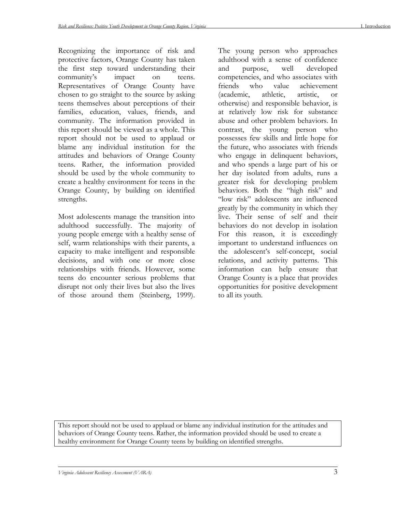Recognizing the importance of risk and protective factors, Orange County has taken the first step toward understanding their community's impact on teens. Representatives of Orange County have chosen to go straight to the source by asking teens themselves about perceptions of their families, education, values, friends, and community. The information provided in this report should be viewed as a whole. This report should not be used to applaud or blame any individual institution for the attitudes and behaviors of Orange County teens. Rather, the information provided should be used by the whole community to create a healthy environment for teens in the Orange County, by building on identified strengths.

Most adolescents manage the transition into adulthood successfully. The majority of young people emerge with a healthy sense of self, warm relationships with their parents, a capacity to make intelligent and responsible decisions, and with one or more close relationships with friends. However, some teens do encounter serious problems that disrupt not only their lives but also the lives of those around them (Steinberg, 1999). The young person who approaches adulthood with a sense of confidence and purpose, well developed competencies, and who associates with friends who value achievement (academic, athletic, artistic, or otherwise) and responsible behavior, is at relatively low risk for substance abuse and other problem behaviors. In contrast, the young person who possesses few skills and little hope for the future, who associates with friends who engage in delinquent behaviors, and who spends a large part of his or her day isolated from adults, runs a greater risk for developing problem behaviors. Both the "high risk" and "low risk" adolescents are influenced greatly by the community in which they live. Their sense of self and their behaviors do not develop in isolation For this reason, it is exceedingly important to understand influences on the adolescent's self-concept, social relations, and activity patterns. This information can help ensure that Orange County is a place that provides opportunities for positive development to all its youth.

This report should not be used to applaud or blame any individual institution for the attitudes and behaviors of Orange County teens. Rather, the information provided should be used to create a healthy environment for Orange County teens by building on identified strengths.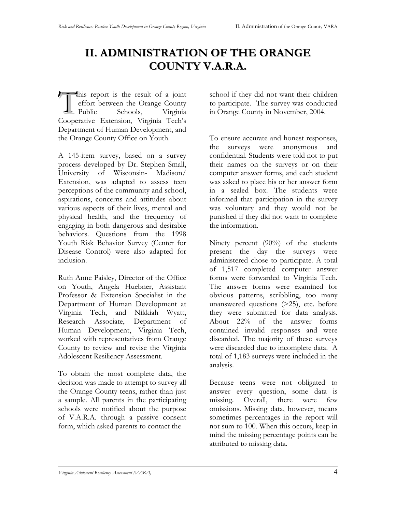# **II. ADMINISTRATION OF THE ORANGE COUNTY V.A.R.A.**

his report is the result of a joint<br>
effort between the Orange County<br>
Public Schools, Virginia effort between the Orange County Public Schools, Virginia Cooperative Extension, Virginia Tech's Department of Human Development, and the Orange County Office on Youth.

A 145-item survey, based on a survey process developed by Dr. Stephen Small, University of Wisconsin- Madison/ Extension, was adapted to assess teen perceptions of the community and school, aspirations, concerns and attitudes about various aspects of their lives, mental and physical health, and the frequency of engaging in both dangerous and desirable behaviors. Questions from the 1998 Youth Risk Behavior Survey (Center for Disease Control) were also adapted for inclusion.

Ruth Anne Paisley, Director of the Office on Youth, Angela Huebner, Assistant Professor & Extension Specialist in the Department of Human Development at Virginia Tech, and Nikkiah Wyatt, Research Associate, Department of Human Development, Virginia Tech, worked with representatives from Orange County to review and revise the Virginia Adolescent Resiliency Assessment.

To obtain the most complete data, the decision was made to attempt to survey all the Orange County teens, rather than just a sample. All parents in the participating schools were notified about the purpose of V.A.R.A. through a passive consent form, which asked parents to contact the

school if they did not want their children to participate. The survey was conducted in Orange County in November, 2004.

To ensure accurate and honest responses, the surveys were anonymous and confidential. Students were told not to put their names on the surveys or on their computer answer forms, and each student was asked to place his or her answer form in a sealed box. The students were informed that participation in the survey was voluntary and they would not be punished if they did not want to complete the information.

Ninety percent (90%) of the students present the day the surveys were administered chose to participate. A total of 1,517 completed computer answer forms were forwarded to Virginia Tech. The answer forms were examined for obvious patterns, scribbling, too many unanswered questions (>25), etc. before they were submitted for data analysis. About 22% of the answer forms contained invalid responses and were discarded. The majority of these surveys were discarded due to incomplete data. A total of 1,183 surveys were included in the analysis.

Because teens were not obligated to answer every question, some data is missing. Overall, there were few omissions. Missing data, however, means sometimes percentages in the report will not sum to 100. When this occurs, keep in mind the missing percentage points can be attributed to missing data.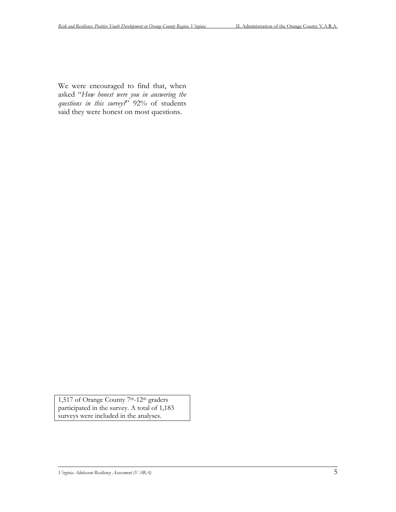We were encouraged to find that, when asked "*How honest were you in answering the questions in this survey?*" 92% of students said they were honest on most questions.

1,517 of Orange County 7th-12th graders participated in the survey. A total of 1,183 surveys were included in the analyses.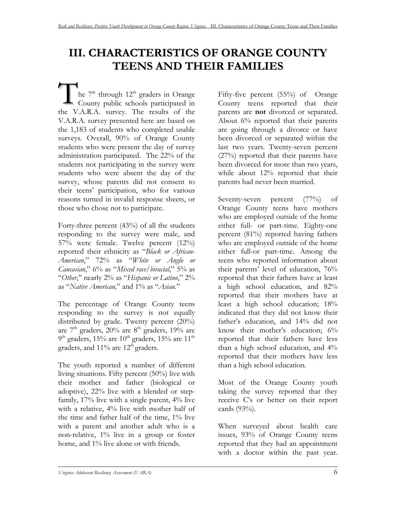# **III. CHARACTERISTICS OF ORANGE COUNTY TEENS AND THEIR FAMILIES**

he  $7<sup>th</sup>$  through  $12<sup>th</sup>$  graders in Orange Co unty public schools participated in the V.A. R.A. survey. The results of the V.A.R.A. survey presented here are based on the 1,183 of students who completed usable surveys. Overall, 90% of Orange County students who were present the day of survey administration participated. The 22% of the students not participating in the survey were students who were absent the day of the survey, whose parents did not consent to their teens' participation, who for various reasons turned in invalid response sheets, or those who chose not to participate. T

Forty-three percent (43%) of all the students responding to the survey were male, and 57% were female. Twelve percent (12%) reported their ethnicity as "*Black or African-American*," 72% as "*White or Anglo or Caucasian*," 6% as "*Mixed race/biracial*," 5% as "*Other*," nearly 2% as "*Hispanic or Latino*," 2% as "*Native American,*" and 1% as "*Asian.*"

The percentage of Orange County teens responding to the survey is not equally distributed by grade. Twenty percent  $(20\%)$ are  $7<sup>th</sup>$  graders, 20% are  $8<sup>th</sup>$  graders, 19% are 9<sup>th</sup> graders, 15% are 10<sup>th</sup> graders, 15% are 11<sup>th</sup> graders, and  $11\%$  are  $12<sup>th</sup>$  graders.

The youth reported a number of different living situations. Fifty percent (50%) live with their mother and father (biological or adoptive), 22% live with a blended or stepfamily, 17% live with a single parent, 4% live with a relative, 4% live with mother half of the time and father half of the time, 1% live with a parent and another adult who is a non-relative, 1% live in a group or foster home, and 1% live alone or with friends.

Fifty-five percent (55%) of Orange County teens reported that their parents are **not** divorced or separated. About 6% reported that their parents are going through a divorce or have been divorced or separated within the last two years. Twenty-seven percent (27%) reported that their parents have been divorced for more than two years, while about 12% reported that their parents had never been married.

Seventy-seven percent (77%) of Orange County teens have mothers who are employed outside of the home either full- or part-time. Eighty-one percent (81%) reported having fathers who are employed outside of the home either full-or part-time. Among the teens who reported information about their parents' level of education, 76% reported that their fathers have at least a high school education, and 82% reported that their mothers have at least a high school education; 18% indicated that they did not know their father's education, and 14% did not know their mother's education; 6% reported that their fathers have less than a high school education, and 4% reported that their mothers have less than a high school education.

Most of the Orange County youth taking the survey reported that they receive C's or better on their report cards (93%).

When surveyed about health care issues, 93% of Orange County teens reported that they had an appointment with a doctor within the past year.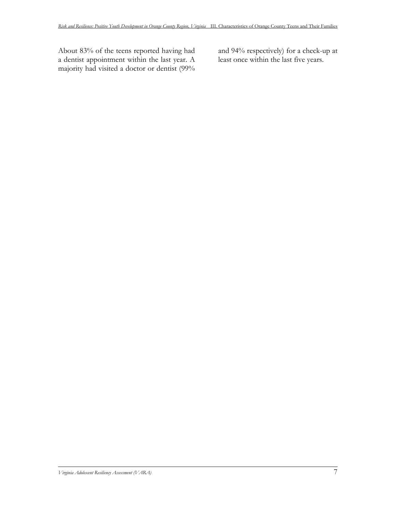About 83% of the teens reported having had a dentist appointment within the last year. A majority had visited a doctor or dentist (99% and 94% respectively) for a check-up at least once within the last five years.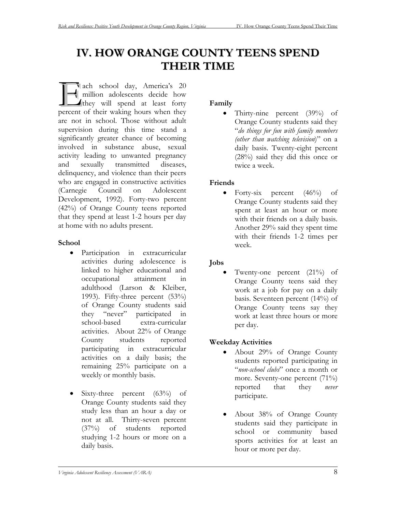# **IV. HOW ORANGE COUNTY TEENS SPEND THEIR TIME**

ach school day, America's 20 million adolescents decide how  $\blacktriangle$  they will spend at least forty ach school day, America's 20 million adolescents decide how they will spend at least forty percent of their waking hours when they are not in school. Those without adult supervision during this time stand a significantly greater chance of becoming involved in substance abuse, sexual activity leading to unwanted pregnancy and sexually transmitted diseases, delinquency, and violence than their peers who are engaged in constructive activities (Carnegie Council on Adolescent Development, 1992). Forty-two percent (42%) of Orange County teens reported that they spend at least 1-2 hours per day at home with no adults present.

## **School**

- Participation in extracurricular activities during adolescence is linked to higher educational and occupational attainment in adulthood (Larson & Kleiber, 1993). Fifty-three percent (53%) of Orange County students said they "never" participated in school-based extra-curricular activities. About 22% of Orange County students reported participating in extracurricular activities on a daily basis; the remaining 25% participate on a weekly or monthly basis.
- Sixty-three percent  $(63\%)$  of Orange County students said they study less than an hour a day or not at all. Thirty-seven percent (37%) of students reported studying 1-2 hours or more on a daily basis.

# **Family**

• Thirty-nine percent (39%) of Orange County students said they "*do things for fun with family members (other than watching television*)" on a daily basis. Twenty-eight percent (28%) said they did this once or twice a week.

## **Friends**

• Forty-six percent  $(46\%)$  of Orange County students said they spent at least an hour or more with their friends on a daily basis. Another 29% said they spent time with their friends 1-2 times per week.

# **Jobs**

• Twenty-one percent (21%) of Orange County teens said they work at a job for pay on a daily basis. Seventeen percent (14%) of Orange County teens say they work at least three hours or more per day.

## **Weekday Activities**

- About 29% of Orange County students reported participating in "*non-school clubs*" once a month or more. Seventy-one percent (71%) reported that they *never* participate.
- About 38% of Orange County students said they participate in school or community based sports activities for at least an hour or more per day.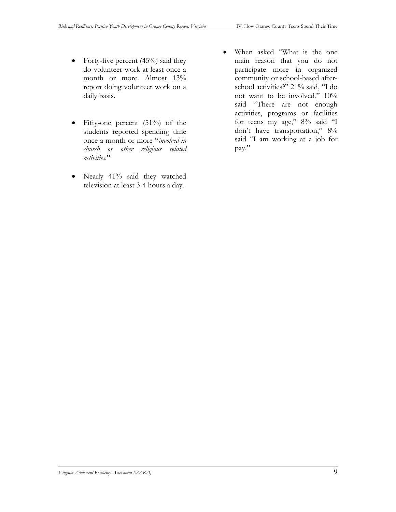- Forty-five percent  $(45%)$  said they do volunteer work at least once a month or more. Almost 13% report doing volunteer work on a daily basis.
- Fifty-one percent (51%) of the students reported spending time once a month or more "*involved in church or other religious related activities*."
- Nearly 41% said they watched television at least 3-4 hours a day.
- When asked "What is the one main reason that you do not participate more in organized community or school-based afterschool activities?" 21% said, "I do not want to be involved," 10% said "There are not enough activities, programs or facilities for teens my age," 8% said "I don't have transportation," 8% said "I am working at a job for pay."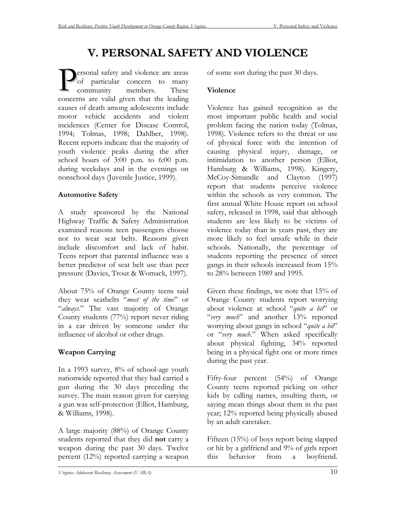# **V. PERSONAL SAFETY AND VIOLENCE**

ers onal safety and violence are areas of particular concern to many com concerns are valid given that the leading members. These causes of death among adolescents include motor vehicle accidents and violent incidences (Center for Disease Control, 1994; Tolmas, 1998; Dahlber, 1998). Recent reports indicate that the majority of youth violence peaks during the after school hours of 3:00 p.m. to 6:00 p.m. during weekdays and in the evenings on nonschool days (Juvenile Justice, 1999). P

## **Automotive Safety**

A study sponsored by the National Highway Traffic & Safety Administration examined reasons teen passengers choose not to wear seat belts. Reasons given include discomfort and lack of habit. Teens report that parental influence was a better predictor of seat belt use than peer pressure (Davies, Trout & Womack, 1997).

About 75% of Orange County teens said they wear seatbelts "*most of the time*" or "*always*." The vast majority of Orange County students (77%) report never riding in a car driven by someone under the influence of alcohol or other drugs.

## **Weapon Carrying**

In a 1993 survey, 8% of school-age youth nationwide reported that they had carried a gun during the 30 days preceding the survey. The main reason given for carrying a gun was self-protection (Elliot, Hamburg, & Williams, 1998).

A large majority (88%) of Orange County students reported that they did **not** carry a weapon during the past 30 days. Twelve percent (12%) reported carrying a weapon

of some sort during the past 30 days.

#### **Violence**

Violence has gained recognition as the most important public health and social problem facing the nation today (Tolmas, 1998). Violence refers to the threat or use of physical force with the intention of causing physical injury, damage, or intimidation to another person (Elliot, Hamburg & Williams, 1998). Kingery, McCoy-Simandle and Clayton (1997) report that students perceive violence within the schools as very common. The first annual White House report on school safety, released in 1998, said that although students are less likely to be victims of violence today than in years past, they are more likely to feel unsafe while in their schools. Nationally, the percentage of students reporting the presence of street gangs in their schools increased from 15% to 28% between 1989 and 1995.

Given these findings, we note that 15% of Orange County students report worrying about violence at school "*quite a bit*" or "*very much*" and another 13% reported worrying about gangs in school "*quite a bit*" or "*very much*." When asked specifically about physical fighting, 34% reported being in a physical fight one or more times during the past year.

Fifty-four percent (54%) of Orange County teens reported picking on other kids by calling names, insulting them, or saying mean things about them in the past year; 12% reported being physically abused by an adult caretaker.

Fifteen (15%) of boys report being slapped or hit by a girlfriend and 9% of girls report this behavior from a boyfriend.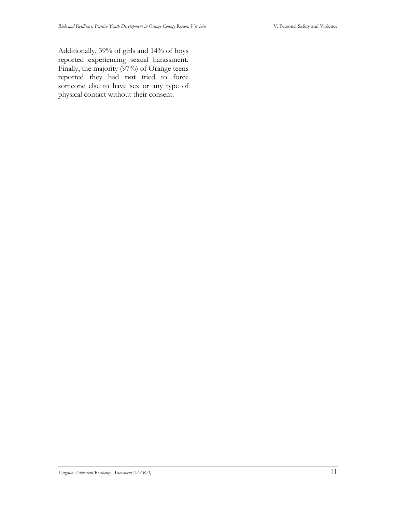Additionally, 39% of girls and 14% of boys reported experiencing sexual harassment. Finally, the majority (97%) of Orange teens reported they had **not** tried to force someone else to have sex or any type of physical contact without their consent.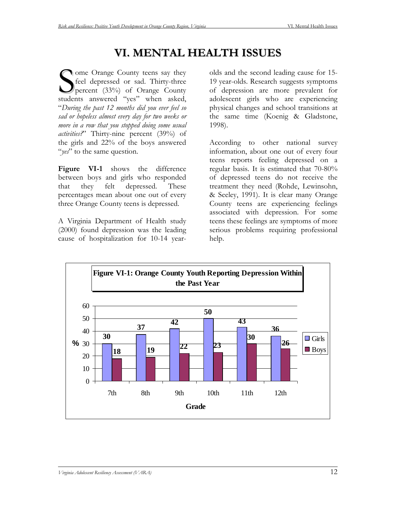# **VI. MENTAL HEALTH ISSUES**

**Orange County teens say they** feel depressed or sad. Thirty-three percent (33%) of Orange County Some Orange County teens say they<br>feel depressed or sad. Thirty-three<br>percent (33%) of Orange County<br>students answered "yes" when asked, "*During the past 12 months did you ever feel so sad or hopeless almost every day for two weeks or more in a row that you stopped doing some usual activities?*" Thirty-nine percent (39%) of the girls and 22% of the boys answered "*yes*" to the same question.

**Figure VI-1** shows the difference between boys and girls who responded that they felt depressed. These percentages mean about one out of every three Orange County teens is depressed.

A Virginia Department of Health study (2000) found depression was the leading cause of hospitalization for 10-14 yearolds and the second leading cause for 15- 19 year-olds. Research suggests symptoms of depression are more prevalent for adolescent girls who are experiencing physical changes and school transitions at the same time (Koenig & Gladstone, 1998).

According to other national survey information, about one out of every four teens reports feeling depressed on a regular basis. It is estimated that 70-80% of depressed teens do not receive the treatment they need (Rohde, Lewinsohn, & Seeley, 1991). It is clear many Orange County teens are experiencing feelings associated with depression. For some teens these feelings are symptoms of more serious problems requiring professional help.

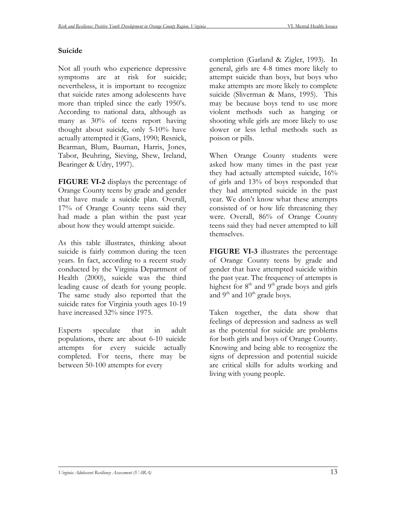#### **Suicide**

Not all youth who experience depressive symptoms are at risk for suicide; nevertheless, it is important to recognize that suicide rates among adolescents have more than tripled since the early 1950's. According to national data, although as many as 30% of teens report having thought about suicide, only 5-10% have actually attempted it (Gans, 1990; Resnick, Bearman, Blum, Bauman, Harris, Jones, Tabor, Beuhring, Sieving, Shew, Ireland, Bearinger & Udry, 1997).

**FIGURE VI-2** displays the percentage of Orange County teens by grade and gender that have made a suicide plan. Overall, 17% of Orange County teens said they had made a plan within the past year about how they would attempt suicide.

As this table illustrates, thinking about suicide is fairly common during the teen years. In fact, according to a recent study conducted by the Virginia Department of Health (2000), suicide was the third leading cause of death for young people. The same study also reported that the suicide rates for Virginia youth ages 10-19 have increased  $32\%$  since 1975.

Experts speculate that in adult populations, there are about 6-10 suicide attempts for every suicide actually completed. For teens, there may be between 50-100 attempts for every

completion (Garland & Zigler, 1993). In general, girls are 4-8 times more likely to attempt suicide than boys, but boys who make attempts are more likely to complete suicide (Sliverman & Mans, 1995). This may be because boys tend to use more violent methods such as hanging or shooting while girls are more likely to use slower or less lethal methods such as poison or pills.

When Orange County students were asked how many times in the past year they had actually attempted suicide, 16% of girls and 13% of boys responded that they had attempted suicide in the past year. We don't know what these attempts consisted of or how life threatening they were. Overall, 86% of Orange County teens said they had never attempted to kill themselves.

**FIGURE VI-3** illustrates the percentage of Orange County teens by grade and gender that have attempted suicide within the past year. The frequency of attempts is highest for 8<sup>th</sup> and 9<sup>th</sup> grade boys and girls and  $9<sup>th</sup>$  and  $10<sup>th</sup>$  grade boys.

Taken together, the data show that feelings of depression and sadness as well as the potential for suicide are problems for both girls and boys of Orange County. Knowing and being able to recognize the signs of depression and potential suicide are critical skills for adults working and living with young people.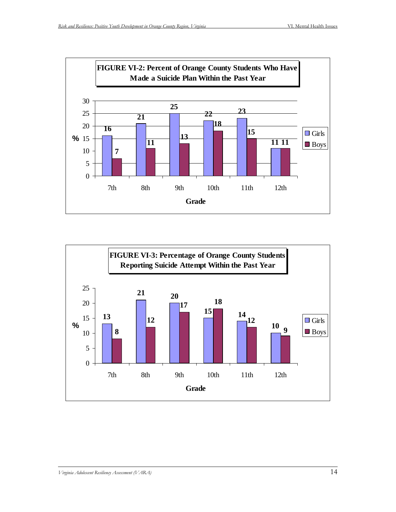

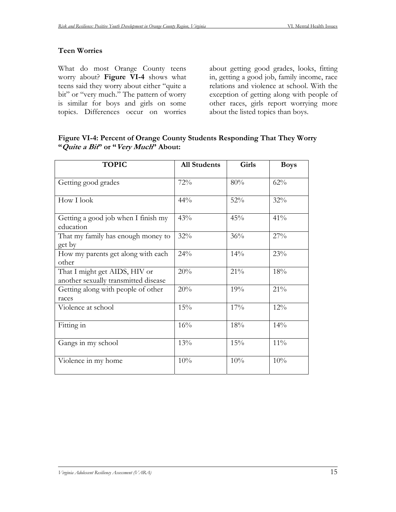#### **Teen Worries**

What do most Orange County teens worry about? **Figure VI-4** shows what teens said they worry about either "quite a bit" or "very much." The pattern of worry is similar for boys and girls on some topics. Differences occur on worries

about getting good grades, looks, fitting in, getting a good job, family income, race relations and violence at school. With the exception of getting along with people of other races, girls report worrying more about the listed topics than boys.

#### **Figure VI-4: Percent of Orange County Students Responding That They Worry "Quite a Bit" or "Very Much" About:**

| <b>TOPIC</b>                                                          | <b>All Students</b> | Girls | <b>Boys</b> |
|-----------------------------------------------------------------------|---------------------|-------|-------------|
| Getting good grades                                                   | 72%                 | 80%   | 62%         |
| How I look                                                            | 44%                 | 52%   | 32%         |
| Getting a good job when I finish my<br>education                      | 43%                 | 45%   | 41%         |
| That my family has enough money to<br>get by                          | 32%                 | 36%   | 27%         |
| How my parents get along with each<br>other                           | 24%                 | 14%   | 23%         |
| That I might get AIDS, HIV or<br>another sexually transmitted disease | 20%                 | 21%   | 18%         |
| Getting along with people of other<br>races                           | 20%                 | 19%   | 21%         |
| Violence at school                                                    | 15%                 | 17%   | 12%         |
| Fitting in                                                            | 16%                 | 18%   | 14%         |
| Gangs in my school                                                    | 13%                 | 15%   | $11\%$      |
| Violence in my home                                                   | 10%                 | 10%   | 10%         |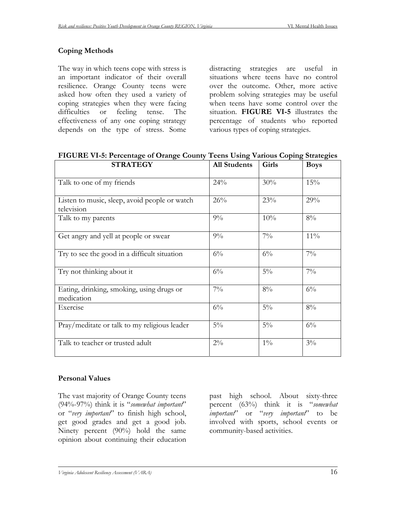## **Coping Methods**

The way in which teens cope with stress is an important indicator of their overall resilience. Orange County teens were asked how often they used a variety of coping strategies when they were facing difficulties or feeling tense. The effectiveness of any one coping strategy depends on the type of stress. Some distracting strategies are useful in situations where teens have no control over the outcome. Other, more active problem solving strategies may be useful when teens have some control over the situation. **FIGURE VI-5** illustrates the percentage of students who reported various types of coping strategies.

| <b>STRATEGY</b>                                             | <b>All Students</b> | Girls | <b>Boys</b> |
|-------------------------------------------------------------|---------------------|-------|-------------|
| Talk to one of my friends                                   | 24%                 | 30%   | 15%         |
| Listen to music, sleep, avoid people or watch<br>television | 26%                 | 23%   | 29%         |
| Talk to my parents                                          | $9\%$               | 10%   | $8\%$       |
| Get angry and yell at people or swear                       | $9\%$               | $7\%$ | $11\%$      |
| Try to see the good in a difficult situation                | $6\%$               | $6\%$ | $7\%$       |
| Try not thinking about it                                   | $6\%$               | $5\%$ | $7\%$       |
| Eating, drinking, smoking, using drugs or<br>medication     | $7\%$               | $8\%$ | $6\%$       |
| Exercise                                                    | $6\%$               | $5\%$ | $8\%$       |
| Pray/meditate or talk to my religious leader                | $5\%$               | $5\%$ | $6\%$       |
| Talk to teacher or trusted adult                            | $2\%$               | $1\%$ | $3\%$       |

**FIGURE VI-5: Percentage of Orange County Teens Using Various Coping Strategies** 

## **Personal Values**

The vast majority of Orange County teens (94%-97%) think it is "*somewhat important*" or "*very important*" to finish high school, get good grades and get a good job. Ninety percent (90%) hold the same opinion about continuing their education

past high school. About sixty-three percent (63%) think it is "*somewhat important*" or "*very important*" to be involved with sports, school events or community-based activities.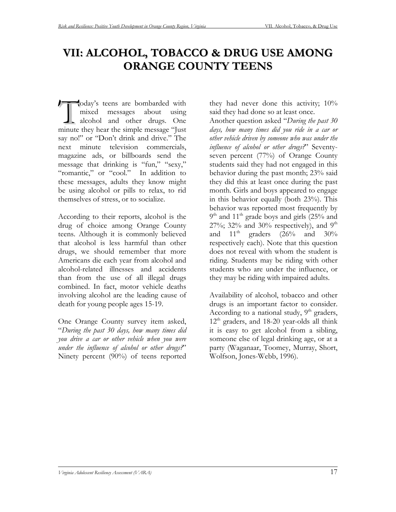# **VII: ALCOHOL, TOBACCO & DRUG USE AMONG ORANGE COUNTY TEENS**

oday's teens are bombarded with mixed messages about using alcohol and other drugs. One oday's teens are bombarded with<br>mixed messages about using<br>alcohol and other drugs. One<br>minute they hear the simple message "Just say no!" or "Don't drink and drive." The next minute television commercials, magazine ads, or billboards send the message that drinking is "fun," "sexy," "romantic," or "cool." In addition to these messages, adults they know might be using alcohol or pills to relax, to rid themselves of stress, or to socialize.

According to their reports, alcohol is the drug of choice among Orange County teens. Although it is commonly believed that alcohol is less harmful than other drugs, we should remember that more Americans die each year from alcohol and alcohol-related illnesses and accidents than from the use of all illegal drugs combined. In fact, motor vehicle deaths involving alcohol are the leading cause of death for young people ages 15-19.

One Orange County survey item asked, "*During the past 30 days, how many times did you drive a car or other vehicle when you were under the influence of alcohol or other drugs?*" Ninety percent (90%) of teens reported

they had never done this activity;  $10\%$ said they had done so at least once.

Another question asked "*During the past 30 days, how many times did you ride in a car or other vehicle driven by someone who was under the influence of alcohol or other drugs?*" Seventyseven percent (77%) of Orange County students said they had not engaged in this behavior during the past month; 23% said they did this at least once during the past month. Girls and boys appeared to engage in this behavior equally (both 23%). This behavior was reported most frequently by  $9<sup>th</sup>$  and  $11<sup>th</sup>$  grade boys and girls (25% and 27%; 32% and 30% respectively), and  $9<sup>th</sup>$ and  $11<sup>th</sup>$  graders (26% and 30% respectively each). Note that this question does not reveal with whom the student is riding. Students may be riding with other students who are under the influence, or they may be riding with impaired adults.

Availability of alcohol, tobacco and other drugs is an important factor to consider. According to a national study,  $9<sup>th</sup>$  graders, 12<sup>th</sup> graders, and 18-20 year-olds all think it is easy to get alcohol from a sibling, someone else of legal drinking age, or at a party (Waganaar, Toomey, Murray, Short, Wolfson, Jones-Webb, 1996).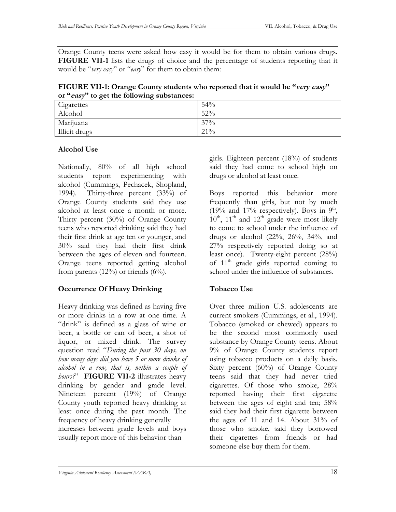Orange County teens were asked how easy it would be for them to obtain various drugs. **FIGURE VII-1** lists the drugs of choice and the percentage of students reporting that it would be "*very easy*" or "*easy*" for them to obtain them:

**FIGURE VII-1: Orange County students who reported that it would be "very easy" or "easy" to get the following substances:** 

| Cigarettes    | 54%    |
|---------------|--------|
| Alcohol       | 52%    |
| Marijuana     | $37\%$ |
| Illicit drugs | $21\%$ |

## **Alcohol Use**

Nationally, 80% of all high school students report experimenting with alcohol (Cummings, Pechacek, Shopland, 1994). Thirty-three percent (33%) of Orange County students said they use alcohol at least once a month or more. Thirty percent (30%) of Orange County teens who reported drinking said they had their first drink at age ten or younger, and 30% said they had their first drink between the ages of eleven and fourteen. Orange teens reported getting alcohol from parents  $(12%)$  or friends  $(6%)$ .

# **Occurrence Of Heavy Drinking**

Heavy drinking was defined as having five or more drinks in a row at one time. A "drink" is defined as a glass of wine or beer, a bottle or can of beer, a shot of liquor, or mixed drink. The survey question read "*During the past 30 days, on how many days did you have 5 or more drinks of alcohol in a row, that is, within a couple of hours?*" **FIGURE VII-2** illustrates heavy drinking by gender and grade level. Nineteen percent (19%) of Orange County youth reported heavy drinking at least once during the past month. The frequency of heavy drinking generally increases between grade levels and boys usually report more of this behavior than

girls. Eighteen percent (18%) of students said they had come to school high on drugs or alcohol at least once.

Boys reported this behavior more frequently than girls, but not by much (19% and 17% respectively). Boys in  $9<sup>th</sup>$ ,  $10^{th}$ ,  $11^{th}$  and  $12^{th}$  grade were most likely to come to school under the influence of drugs or alcohol  $(22\%, 26\%, 34\%, \text{and})$ 27% respectively reported doing so at least once). Twenty-eight percent (28%) of  $11<sup>th</sup>$  grade girls reported coming to school under the influence of substances.

# **Tobacco Use**

Over three million U.S. adolescents are current smokers (Cummings, et al., 1994). Tobacco (smoked or chewed) appears to be the second most commonly used substance by Orange County teens. About 9% of Orange County students report using tobacco products on a daily basis. Sixty percent (60%) of Orange County teens said that they had never tried cigarettes. Of those who smoke, 28% reported having their first cigarette between the ages of eight and ten; 58% said they had their first cigarette between the ages of 11 and 14. About 31% of those who smoke, said they borrowed their cigarettes from friends or had someone else buy them for them.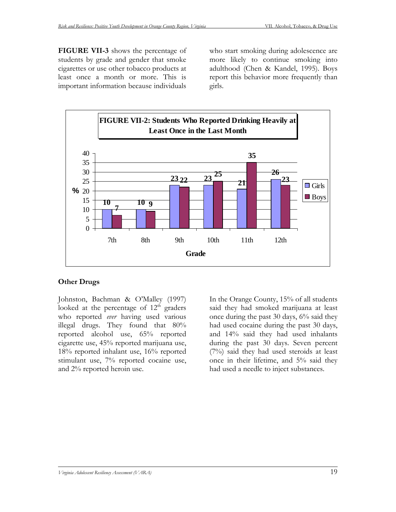**FIGURE VII-3** shows the percentage of students by grade and gender that smoke cigarettes or use other tobacco products at least once a month or more. This is important information because individuals

who start smoking during adolescence are more likely to continue smoking into adulthood (Chen & Kandel, 1995). Boys report this behavior more frequently than girls.



## **Other Drugs**

Johnston, Bachman & O'Malley (1997) looked at the percentage of  $12<sup>th</sup>$  graders who reported *ever* having used various illegal drugs. They found that 80% reported alcohol use, 65% reported cigarette use, 45% reported marijuana use, 18% reported inhalant use, 16% reported stimulant use, 7% reported cocaine use, and 2% reported heroin use.

In the Orange County, 15% of all students said they had smoked marijuana at least once during the past 30 days, 6% said they had used cocaine during the past 30 days, and 14% said they had used inhalants during the past 30 days. Seven percent (7%) said they had used steroids at least once in their lifetime, and 5% said they had used a needle to inject substances.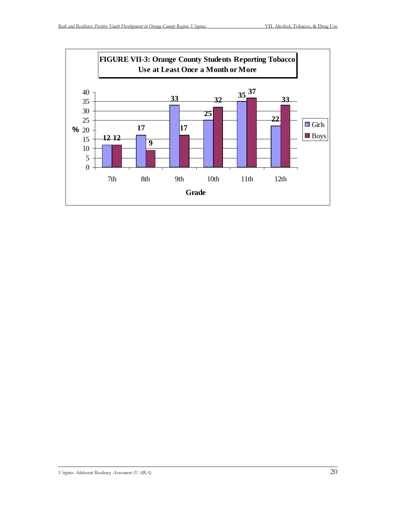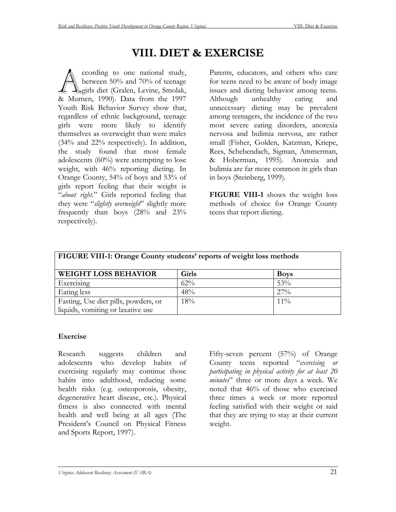# **VIII. DIET & EXERCISE**

ccording to one national study, between 50% and 70% of teenage girls diet (Gralen, Levine, Smolak, cording to one national study,<br>between 50% and 70% of teenage<br>& Murnen, 1990). Data from the 1997 Youth Risk Behavior Survey show that, regardless of ethnic background, teenage girls were more likely to identify themselves as overweight than were males (34% and 22% respectively). In addition, the study found that most female adolescents (60%) were attempting to lose weight, with 46% reporting dieting. In Orange County, 54% of boys and 53% of girls report feeling that their weight is "*about right*." Girls reported feeling that they were "*slightly overweight*" slightly more frequently than boys (28% and 23% respectively).

Parents, educators, and others who care for teens need to be aware of body image issues and dieting behavior among teens. Although unhealthy eating and unnecessary dieting may be prevalent among teenagers, the incidence of the two most severe eating disorders, anorexia nervosa and bulimia nervosa, are rather small (Fisher, Golden, Katzman, Kriepe, Rees, Schebendach, Sigman, Ammerman, & Hoberman, 1995). Anorexia and bulimia are far more common in girls than in boys (Steinberg, 1999).

**FIGURE VIII-1** shows the weight loss methods of choice for Orange County teens that report dieting.

| FIGURE VIII-1: Orange County students' reports of weight loss methods |        |             |  |
|-----------------------------------------------------------------------|--------|-------------|--|
| <b>WEIGHT LOSS BEHAVIOR</b>                                           | Girls  | <b>Boys</b> |  |
| Exercising                                                            | $62\%$ | 53%         |  |
| Eating less                                                           | 48%    | $27\%$      |  |
| Fasting, Use diet pills, powders, or                                  | 18%    | $11\%$      |  |
| liquids, vomiting or laxative use                                     |        |             |  |

#### **Exercise**

Research suggests children and adolescents who develop habits of exercising regularly may continue those habits into adulthood, reducing some health risks (e.g. osteoporosis, obesity, degenerative heart disease, etc.). Physical fitness is also connected with mental health and well being at all ages (The President's Council on Physical Fitness and Sports Report, 1997).

Fifty-seven percent (57%) of Orange County teens reported "*exercising or participating in physical activity for at least 20 minutes*" three or more days a week. We noted that 46% of those who exercised three times a week or more reported feeling satisfied with their weight or said that they are trying to stay at their current weight.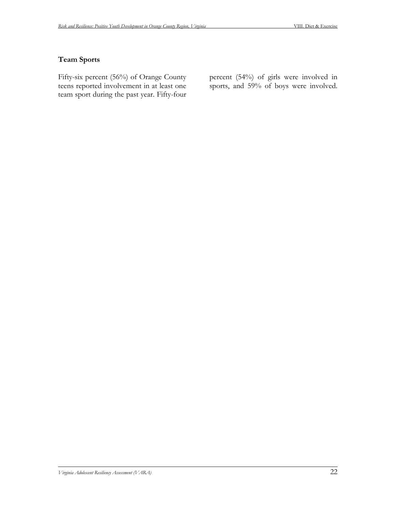#### **Team Sports**

Fifty-six percent (56%) of Orange County teens reported involvement in at least one team sport during the past year. Fifty-four

percent (54%) of girls were involved in sports, and 59% of boys were involved.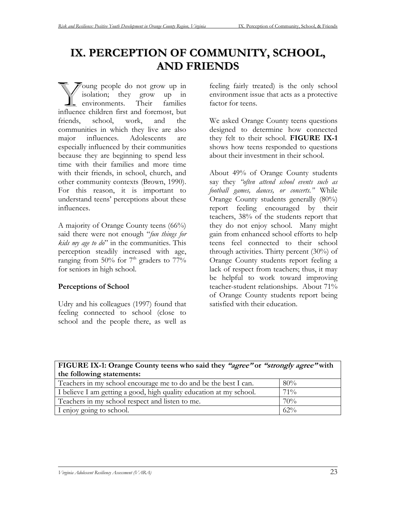# **IX. PERCEPTION OF COMMUNITY, SCHOOL, AND FRIENDS**

oung people do not grow up in isolation; they grow up in environments. Their families Joung people do not grow up in isolation; they grow up in environments. Their families influence children first and foremost, but friends, school, work, and the communities in which they live are also major influences. Adolescents are especially influenced by their communities because they are beginning to spend less time with their families and more time with their friends, in school, church, and other community contexts (Brown, 1990). For this reason, it is important to understand teens' perceptions about these influences.

A majority of Orange County teens (66%) said there were not enough "*fun things for kids my age to do*" in the communities. This perception steadily increased with age, ranging from 50% for  $7<sup>th</sup>$  graders to  $77\%$ for seniors in high school.

## **Perceptions of School**

Udry and his colleagues (1997) found that feeling connected to school (close to school and the people there, as well as feeling fairly treated) is the only school environment issue that acts as a protective factor for teens.

We asked Orange County teens questions designed to determine how connected they felt to their school. **FIGURE IX-1** shows how teens responded to questions about their investment in their school.

About 49% of Orange County students say they *"often attend school events such as football games, dances, or concerts."* While Orange County students generally (80%) report feeling encouraged by their teachers, 38% of the students report that they do not enjoy school. Many might gain from enhanced school efforts to help teens feel connected to their school through activities. Thirty percent (30%) of Orange County students report feeling a lack of respect from teachers; thus, it may be helpful to work toward improving teacher-student relationships. About 71% of Orange County students report being satisfied with their education.

| FIGURE IX-1: Orange County teens who said they "agree" or "strongly agree" with |        |  |  |
|---------------------------------------------------------------------------------|--------|--|--|
| the following statements:                                                       |        |  |  |
| Teachers in my school encourage me to do and be the best I can.                 | 80%    |  |  |
| I believe I am getting a good, high quality education at my school.             | $71\%$ |  |  |
| Teachers in my school respect and listen to me.                                 | 70%    |  |  |
| I enjoy going to school.                                                        | $62\%$ |  |  |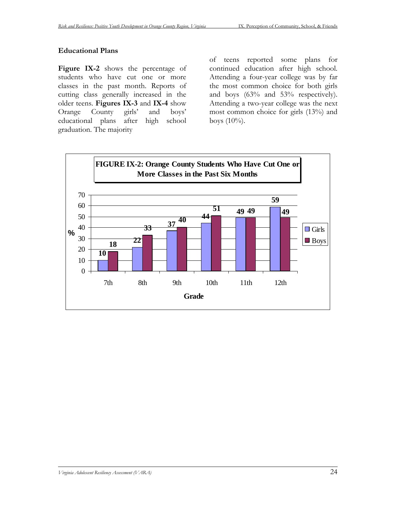#### **Educational Plans**

Figure IX-2 shows the percentage of students who have cut one or more classes in the past month. Reports of cutting class generally increased in the older teens. **Figures IX-3** and **IX-4** show Orange County girls' and boys' educational plans after high school graduation. The majority

of teens reported some plans for continued education after high school. Attending a four-year college was by far the most common choice for both girls and boys (63% and 53% respectively). Attending a two-year college was the next most common choice for girls (13%) and boys  $(10\%)$ .

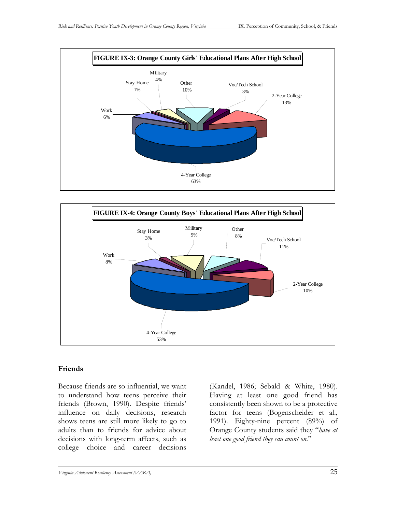



## **Friends**

Because friends are so influential, we want to understand how teens perceive their friends (Brown, 1990). Despite friends' influence on daily decisions, research shows teens are still more likely to go to adults than to friends for advice about decisions with long-term affects, such as college choice and career decisions

(Kandel, 1986; Sebald & White, 1980). Having at least one good friend has consistently been shown to be a protective factor for teens (Bogenscheider et al., 1991). Eighty-nine percent (89%) of Orange County students said they "*have at least one good friend they can count on.*"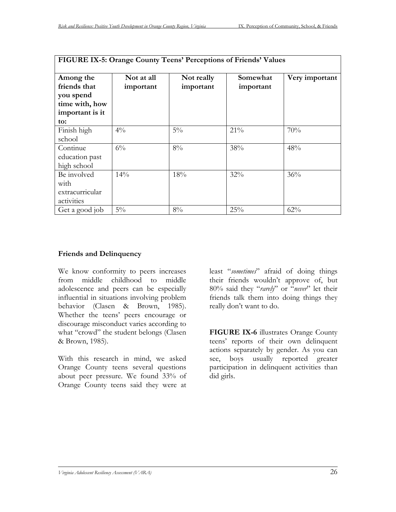| FIGURE IX-5: Orange County Teens' Perceptions of Friends' Values                   |                         |                         |                       |                |  |
|------------------------------------------------------------------------------------|-------------------------|-------------------------|-----------------------|----------------|--|
| Among the<br>friends that<br>you spend<br>time with, how<br>important is it<br>to: | Not at all<br>important | Not really<br>important | Somewhat<br>important | Very important |  |
| Finish high<br>school                                                              | $4\%$                   | $5\%$                   | 21%                   | 70%            |  |
| Continue<br>education past<br>high school                                          | $6\%$                   | 8%                      | 38%                   | 48%            |  |
| Be involved<br>with<br>extracurricular<br>activities                               | 14%                     | 18%                     | 32%                   | 36%            |  |
| Get a good job                                                                     | $5\%$                   | $8\%$                   | 25%                   | 62%            |  |

#### **Friends and Delinquency**

We know conformity to peers increases from middle childhood to middle adolescence and peers can be especially influential in situations involving problem behavior (Clasen & Brown, 1985). Whether the teens' peers encourage or discourage misconduct varies according to what "crowd" the student belongs (Clasen & Brown, 1985).

With this research in mind, we asked Orange County teens several questions about peer pressure. We found 33% of Orange County teens said they were at

least "*sometimes*" afraid of doing things their friends wouldn't approve of, but 80% said they "*rarely*" or "*never*" let their friends talk them into doing things they really don't want to do.

**FIGURE IX-6** illustrates Orange County teens' reports of their own delinquent actions separately by gender. As you can see, boys usually reported greater participation in delinquent activities than did girls.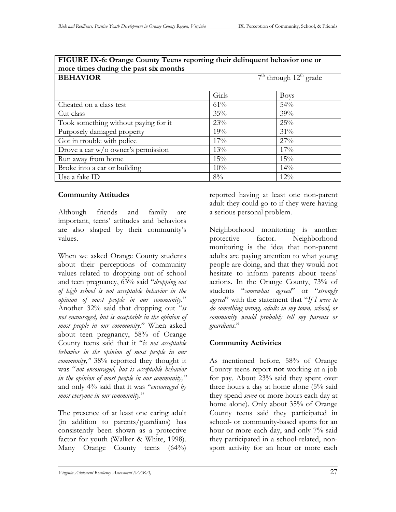| more times during the past six months |                            |             |  |
|---------------------------------------|----------------------------|-------------|--|
| <b>BEHAVIOR</b>                       | $7th$ through $12th$ grade |             |  |
|                                       |                            |             |  |
|                                       | Girls                      | <b>Boys</b> |  |
| Cheated on a class test               | 61%                        | 54%         |  |
| Cut class                             | 35%                        | 39%         |  |
| Took something without paying for it  | 23%                        | 25%         |  |
| Purposely damaged property            | 19%                        | 31%         |  |
| Got in trouble with police            | 17%                        | 27%         |  |
| Drove a car w/o owner's permission    | 13%                        | 17%         |  |
| Run away from home                    | 15%                        | 15%         |  |
| Broke into a car or building          | 10%                        | 14%         |  |
| Use a fake ID                         | $8\%$                      | $12\%$      |  |

# **FIGURE IX-6: Orange County Teens reporting their delinquent behavior one or**

## **Community Attitudes**

Although friends and family are important, teens' attitudes and behaviors are also shaped by their community's values.

When we asked Orange County students about their perceptions of community values related to dropping out of school and teen pregnancy, 63% said "*dropping out of high school is not acceptable behavior in the opinion of most people in our community.*" Another 32% said that dropping out "*is not encouraged, but is acceptable in the opinion of most people in our community.*" When asked about teen pregnancy, 58% of Orange County teens said that it "*is not acceptable behavior in the opinion of most people in our community,"* 38% reported they thought it was "*not encouraged, but is acceptable behavior in the opinion of most people in our community,"* and only 4% said that it was "*encouraged by most everyone in our community.*"

The presence of at least one caring adult (in addition to parents/guardians) has consistently been shown as a protective factor for youth (Walker & White, 1998). Many Orange County teens (64%) reported having at least one non-parent adult they could go to if they were having a serious personal problem.

Neighborhood monitoring is another protective factor. Neighborhood monitoring is the idea that non-parent adults are paying attention to what young people are doing, and that they would not hesitate to inform parents about teens' actions. In the Orange County, 73% of students "*somewhat agreed*" or "*strongly agreed*" with the statement that "*If I were to do something wrong, adults in my town, school, or community would probably tell my parents or guardians.*"

## **Community Activities**

As mentioned before, 58% of Orange County teens report **not** working at a job for pay. About 23% said they spent over three hours a day at home alone (5% said they spend *seven* or more hours each day at home alone). Only about 35% of Orange County teens said they participated in school- or community-based sports for an hour or more each day, and only 7% said they participated in a school-related, nonsport activity for an hour or more each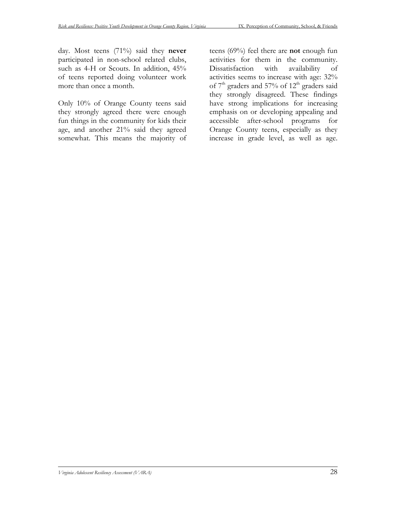day. Most teens (71%) said they **never** participated in non-school related clubs, such as 4-H or Scouts. In addition, 45% of teens reported doing volunteer work more than once a month.

Only 10% of Orange County teens said they strongly agreed there were enough fun things in the community for kids their age, and another 21% said they agreed somewhat. This means the majority of

teens (69%) feel there are **not** enough fun activities for them in the community. Dissatisfaction with availability of activities seems to increase with age: 32% of  $7<sup>th</sup>$  graders and 57% of 12<sup>th</sup> graders said they strongly disagreed. These findings have strong implications for increasing emphasis on or developing appealing and accessible after-school programs for Orange County teens, especially as they increase in grade level, as well as age.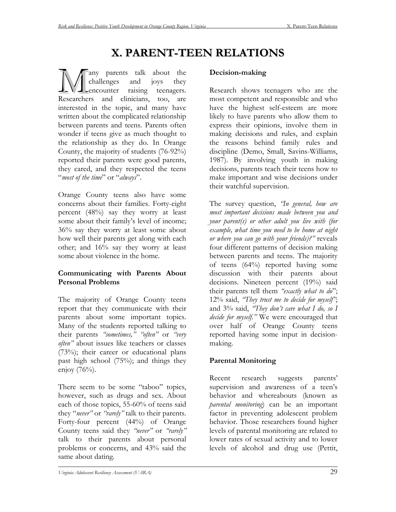# **X. PARENT-TEEN RELATIONS**

any parents talk about the challenges and joys they encounter raising teenagers. **EXECUTE:** The parents talk about the challenges and joys they conclude the concentration of the concentration are Researchers and clinicians, too, are interested in the topic, and many have written about the complicated relationship between parents and teens. Parents often wonder if teens give as much thought to the relationship as they do. In Orange County, the majority of students (76-92%) reported their parents were good parents, they cared, and they respected the teens "*most of the time*" or "*always*".

Orange County teens also have some concerns about their families. Forty-eight percent (48%) say they worry at least some about their family's level of income; 36% say they worry at least some about how well their parents get along with each other; and 16% say they worry at least some about violence in the home.

# **Communicating with Parents About Personal Problems**

The majority of Orange County teens report that they communicate with their parents about some important topics. Many of the students reported talking to their parents *"sometimes," "often"* or *"very often"* about issues like teachers or classes (73%); their career or educational plans past high school (75%); and things they enjoy (76%).

There seem to be some "taboo" topics, however, such as drugs and sex. About each of those topics, 55-60% of teens said they "*never"* or *"rarely"* talk to their parents. Forty-four percent (44%) of Orange County teens said they *"never"* or *"rarely"* talk to their parents about personal problems or concerns, and 43% said the same about dating.

# **Decision-making**

Research shows teenagers who are the most competent and responsible and who have the highest self-esteem are more likely to have parents who allow them to express their opinions, involve them in making decisions and rules, and explain the reasons behind family rules and discipline (Demo, Small, Savins-Williams, 1987). By involving youth in making decisions, parents teach their teens how to make important and wise decisions under their watchful supervision.

The survey question, *"In general, how are most important decisions made between you and your parent(s) or other adult you live with (for example, what time you need to be home at night or where you can go with your friends)?"* reveals four different patterns of decision making between parents and teens. The majority of teens (64%) reported having some discussion with their parents about decisions. Nineteen percent (19%) said their parents tell them *"exactly what to do*"; 12% said, *"They trust me to decide for myself"*; and 3% said, *"They don't care what I do, so I decide for myself."* We were encouraged that over half of Orange County teens reported having some input in decisionmaking.

# **Parental Monitoring**

Recent research suggests parents' supervision and awareness of a teen's behavior and whereabouts (known as *parental monitoring*) can be an important factor in preventing adolescent problem behavior. Those researchers found higher levels of parental monitoring are related to lower rates of sexual activity and to lower levels of alcohol and drug use (Pettit,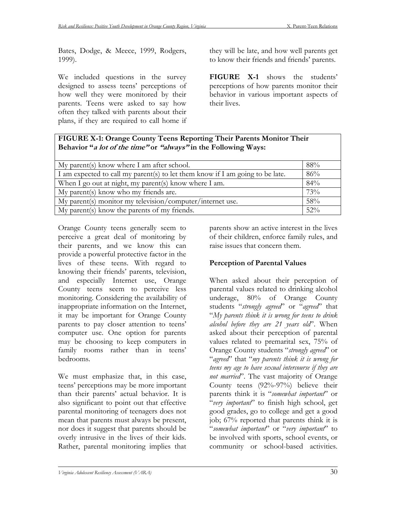Bates, Dodge, & Meece, 1999, Rodgers, 1999).

We included questions in the survey designed to assess teens' perceptions of how well they were monitored by their parents. Teens were asked to say how often they talked with parents about their plans, if they are required to call home if

they will be late, and how well parents get to know their friends and friends' parents.

**FIGURE X-1** shows the students' perceptions of how parents monitor their behavior in various important aspects of their lives.

#### **FIGURE X-1: Orange County Teens Reporting Their Parents Monitor Their Behavior "a lot of the time" or "always" in the Following Ways:**

| My parent(s) know where I am after school.                                    | 88%    |
|-------------------------------------------------------------------------------|--------|
| I am expected to call my parent(s) to let them know if I am going to be late. | 86%    |
| When I go out at night, my parent(s) know where I am.                         | 84%    |
| My parent(s) know who my friends are.                                         | 73%    |
| $\Delta$ My parent(s) monitor my television/computer/internet use.            | 58%    |
| My parent(s) know the parents of my friends.                                  | $52\%$ |

Orange County teens generally seem to perceive a great deal of monitoring by their parents, and we know this can provide a powerful protective factor in the lives of these teens. With regard to knowing their friends' parents, television, and especially Internet use, Orange County teens seem to perceive less monitoring. Considering the availability of inappropriate information on the Internet, it may be important for Orange County parents to pay closer attention to teens' computer use. One option for parents may be choosing to keep computers in family rooms rather than in teens' bedrooms.

We must emphasize that, in this case, teens' perceptions may be more important than their parents' actual behavior. It is also significant to point out that effective parental monitoring of teenagers does not mean that parents must always be present, nor does it suggest that parents should be overly intrusive in the lives of their kids. Rather, parental monitoring implies that

parents show an active interest in the lives of their children, enforce family rules, and raise issues that concern them.

## **Perception of Parental Values**

When asked about their perception of parental values related to drinking alcohol underage, 80% of Orange County students "*strongly agreed*" or "*agreed*" that "*My parents think it is wrong for teens to drink alcohol before they are 21 years old*". When asked about their perception of parental values related to premarital sex, 75% of Orange County students "*strongly agreed*" or "*agreed*" that "*my parents think it is wrong for teens my age to have sexual intercourse if they are not married*". The vast majority of Orange County teens (92%-97%) believe their parents think it is "*somewhat important*" or "*very important*" to finish high school, get good grades, go to college and get a good job; 67% reported that parents think it is "*somewhat important*" or "*very important*" to be involved with sports, school events, or community or school-based activities.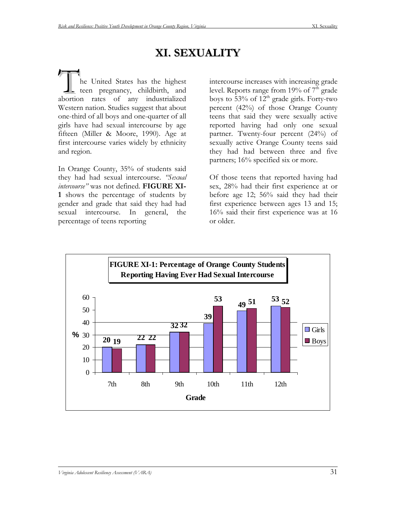# **XI. SEXUALITY**

he United States has the highest tee n pregnancy, childbirth, and The United States has the highest<br>teen pregnancy, childbirth, and<br>abortion rates of any industrialized Western nation. Studies suggest that about one-third of all boys and one-quarter of all girls have had sexual intercourse by age fifteen (Miller & Moore, 1990). Age at first intercourse varies widely by ethnicity and region.

In Orange County, 35% of students said they had had sexual intercourse. *"Sexual intercourse"* was not defined. **FIGURE XI-1** shows the percentage of students by gender and grade that said they had had sexual intercourse. In general, the percentage of teens reporting

intercourse increases with increasing grade level. Reports range from 19% of  $7<sup>th</sup>$  grade boys to  $53\%$  of  $12^{th}$  grade girls. Forty-two percent (42%) of those Orange County teens that said they were sexually active reported having had only one sexual partner. Twenty-four percent (24%) of sexually active Orange County teens said they had had between three and five partners; 16% specified six or more.

Of those teens that reported having had sex, 28% had their first experience at or before age 12; 56% said they had their first experience between ages 13 and 15; 16% said their first experience was at 16 or older.

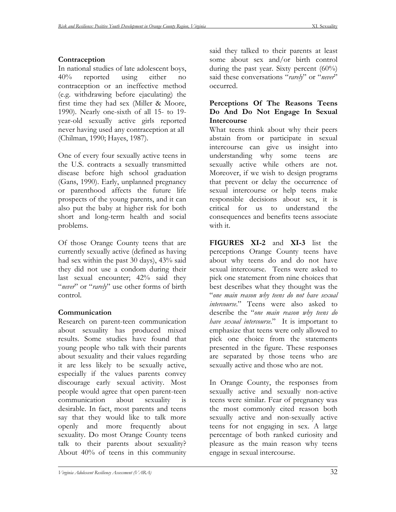#### **Contraception**

In national studies of late adolescent boys, 40% reported using either no contraception or an ineffective method (e.g. withdrawing before ejaculating) the first time they had sex (Miller & Moore, 1990). Nearly one-sixth of all 15- to 19 year-old sexually active girls reported never having used any contraception at all (Chilman, 1990; Hayes, 1987).

One of every four sexually active teens in the U.S. contracts a sexually transmitted disease before high school graduation (Gans, 1990). Early, unplanned pregnancy or parenthood affects the future life prospects of the young parents, and it can also put the baby at higher risk for both short and long-term health and social problems.

Of those Orange County teens that are currently sexually active (defined as having had sex within the past 30 days), 43% said they did not use a condom during their last sexual encounter; 42% said they "*never*" or "*rarely*" use other forms of birth control.

## **Communication**

Research on parent-teen communication about sexuality has produced mixed results. Some studies have found that young people who talk with their parents about sexuality and their values regarding it are less likely to be sexually active, especially if the values parents convey discourage early sexual activity. Most people would agree that open parent-teen communication about sexuality is desirable. In fact, most parents and teens say that they would like to talk more openly and more frequently about sexuality. Do most Orange County teens talk to their parents about sexuality? About 40% of teens in this community

said they talked to their parents at least some about sex and/or birth control during the past year. Sixty percent  $(60\%)$ said these conversations "*rarely*" or "*never*" occurred.

#### **Perceptions Of The Reasons Teens Do And Do Not Engage In Sexual Intercourse**

What teens think about why their peers abstain from or participate in sexual intercourse can give us insight into understanding why some teens are sexually active while others are not. Moreover, if we wish to design programs that prevent or delay the occurrence of sexual intercourse or help teens make responsible decisions about sex, it is critical for us to understand the consequences and benefits teens associate with it.

**FIGURES XI-2** and **XI-3** list the perceptions Orange County teens have about why teens do and do not have sexual intercourse. Teens were asked to pick one statement from nine choices that best describes what they thought was the "*one main reason why teens do not have sexual intercourse*." Teens were also asked to describe the "*one main reason why teens do have sexual intercourse*." It is important to emphasize that teens were only allowed to pick one choice from the statements presented in the figure. These responses are separated by those teens who are sexually active and those who are not.

In Orange County, the responses from sexually active and sexually non-active teens were similar. Fear of pregnancy was the most commonly cited reason both sexually active and non-sexually active teens for not engaging in sex. A large percentage of both ranked curiosity and pleasure as the main reason why teens engage in sexual intercourse.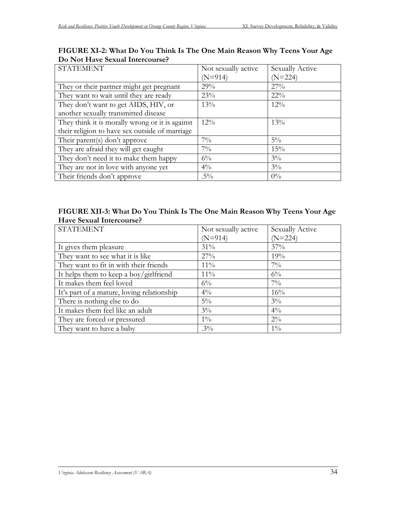| <b>STATEMENT</b>                                | Not sexually active | Sexually Active |
|-------------------------------------------------|---------------------|-----------------|
|                                                 | $(N=914)$           | $(N=224)$       |
| They or their partner might get pregnant        | 29%                 | 27%             |
| They want to wait until they are ready          | 23%                 | $22\%$          |
| They don't want to get AIDS, HIV, or            | 13%                 | $12\%$          |
| another sexually transmitted disease            |                     |                 |
| They think it is morally wrong or it is against | $12\%$              | 13%             |
| their religion to have sex outside of marriage  |                     |                 |
| Their parent(s) don't approve                   | $7\%$               | $5\%$           |
| They are afraid they will get caught            | $7\%$               | 15%             |
| They don't need it to make them happy           | $6\%$               | $3\%$           |
| They are not in love with anyone yet            | $4\%$               | $3\%$           |
| Their friends don't approve                     | $.5\%$              | $0\%$           |

## **FIGURE XI-2: What Do You Think Is The One Main Reason Why Teens Your Age Do Not Have Sexual Intercourse?**

## **FIGURE XII-3: What Do You Think Is The One Main Reason Why Teens Your Age Have Sexual Intercourse?**

| <b>STATEMENT</b>                           | Not sexually active | Sexually Active |
|--------------------------------------------|---------------------|-----------------|
|                                            | $(N=914)$           | $(N=224)$       |
| It gives them pleasure                     | $31\%$              | 37%             |
| They want to see what it is like           | 27%                 | 19%             |
| They want to fit in with their friends     | $11\%$              | $7\%$           |
| It helps them to keep a boy/girlfriend     | $11\%$              | $6\%$           |
| It makes them feel loved                   | $6\%$               | $7\%$           |
| It's part of a mature, loving relationship | $4\%$               | 16%             |
| There is nothing else to do                | $5\%$               | $3\%$           |
| It makes them feel like an adult           | $3\%$               | $4\%$           |
| They are forced or pressured               | $1\%$               | $2\%$           |
| They want to have a baby                   | $.3\%$              | $1\%$           |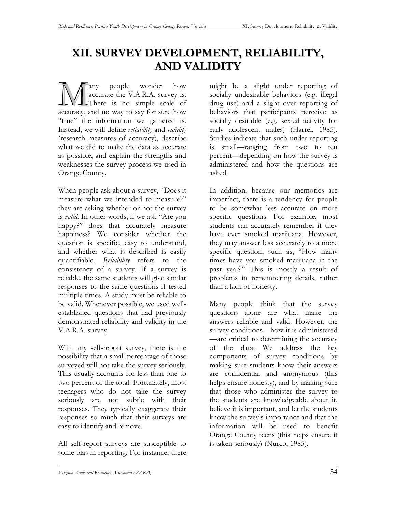# **XII. SURVEY DEVELOPMENT, RELIABILITY, AND VALIDITY**

any people wonder how accurate the V.A.R.A. survey is. There is no simple scale of **A** any people wonder how accurate the V.A.R.A. survey is.<br>There is no simple scale of accuracy, and no way to say for sure how "true" the information we gathered is. Instead, we will define *reliability* and *validity* (research measures of accuracy), describe what we did to make the data as accurate as possible, and explain the strengths and weaknesses the survey process we used in Orange County.

When people ask about a survey, "Does it measure what we intended to measure?" they are asking whether or not the survey is *valid*. In other words, if we ask "Are you happy?" does that accurately measure happiness? We consider whether the question is specific, easy to understand, and whether what is described is easily quantifiable. *Reliability* refers to the consistency of a survey. If a survey is reliable, the same students will give similar responses to the same questions if tested multiple times. A study must be reliable to be valid. Whenever possible, we used wellestablished questions that had previously demonstrated reliability and validity in the V.A.R.A. survey.

With any self-report survey, there is the possibility that a small percentage of those surveyed will not take the survey seriously. This usually accounts for less than one to two percent of the total. Fortunately, most teenagers who do not take the survey seriously are not subtle with their responses. They typically exaggerate their responses so much that their surveys are easy to identify and remove.

All self-report surveys are susceptible to some bias in reporting. For instance, there might be a slight under reporting of socially undesirable behaviors (e.g. illegal drug use) and a slight over reporting of behaviors that participants perceive as socially desirable (e.g. sexual activity for early adolescent males) (Harrel, 1985). Studies indicate that such under reporting is small—ranging from two to ten percent—depending on how the survey is administered and how the questions are asked.

In addition, because our memories are imperfect, there is a tendency for people to be somewhat less accurate on more specific questions. For example, most students can accurately remember if they have ever smoked marijuana. However, they may answer less accurately to a more specific question, such as, "How many times have you smoked marijuana in the past year?" This is mostly a result of problems in remembering details, rather than a lack of honesty.

Many people think that the survey questions alone are what make the answers reliable and valid. However, the survey conditions—how it is administered —are critical to determining the accuracy of the data. We address the key components of survey conditions by making sure students know their answers are confidential and anonymous (this helps ensure honesty), and by making sure that those who administer the survey to the students are knowledgeable about it, believe it is important, and let the students know the survey's importance and that the information will be used to benefit Orange County teens (this helps ensure it is taken seriously) (Nurco, 1985).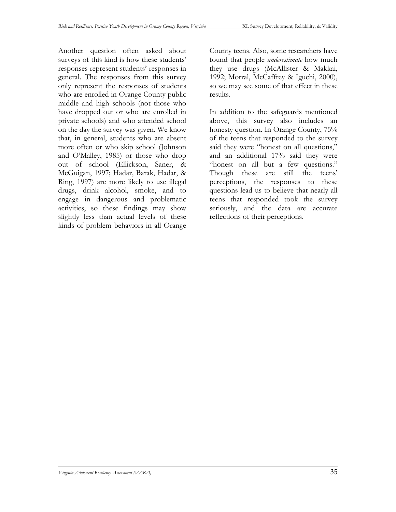Another question often asked about surveys of this kind is how these students' responses represent students' responses in general. The responses from this survey only represent the responses of students who are enrolled in Orange County public middle and high schools (not those who have dropped out or who are enrolled in private schools) and who attended school on the day the survey was given. We know that, in general, students who are absent more often or who skip school (Johnson and O'Malley, 1985) or those who drop out of school (Ellickson, Saner, & McGuigan, 1997; Hadar, Barak, Hadar, & Ring, 1997) are more likely to use illegal drugs, drink alcohol, smoke, and to engage in dangerous and problematic activities, so these findings may show slightly less than actual levels of these kinds of problem behaviors in all Orange

County teens. Also, some researchers have found that people *underestimate* how much they use drugs (McAllister & Makkai, 1992; Morral, McCaffrey & Iguchi, 2000), so we may see some of that effect in these results.

In addition to the safeguards mentioned above, this survey also includes an honesty question. In Orange County,  $75%$ of the teens that responded to the survey said they were "honest on all questions," and an additional 17% said they were "honest on all but a few questions." Though these are still the teens' perceptions, the responses to these questions lead us to believe that nearly all teens that responded took the survey seriously, and the data are accurate reflections of their perceptions.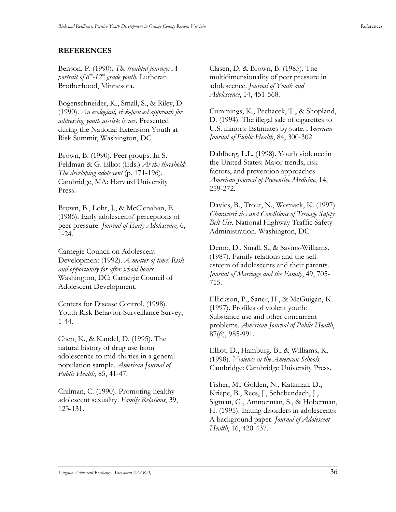#### **REFERENCES**

Benson, P. (1990). *The troubled journey: A portrait of*  $6<sup>th</sup>$ *-12<sup>th</sup> grade youth.* Lutheran Brotherhood, Minnesota.

Bogenschneider, K., Small, S., & Riley, D. (1990). *An ecological, risk-focused approach for addressing youth at-risk issues.* Presented during the National Extension Youth at Risk Summit, Washington, DC

Brown, B. (1990). Peer groups. In S. Feldman & G. Elliot (Eds.) *At the threshold: The developing adolescent* (p. 171-196). Cambridge, MA: Harvard University Press.

Brown, B., Lohr, J., & McClenahan, E. (1986). Early adolescents' perceptions of peer pressure. *Journal of Early Adolescence,* 6, 1-24.

Carnegie Council on Adolescent Development (1992). *A matter of time: Risk and opportunity for after-school hours.* Washington, DC: Carnegie Council of Adolescent Development.

Centers for Disease Control. (1998). Youth Risk Behavior Surveillance Survey, 1-44.

Chen, K., & Kandel, D. (1995). The natural history of drug use from adolescence to mid-thirties in a general population sample. *American Journal of Public Health*, 85, 41-47.

Chilman, C. (1990). Promoting healthy adolescent sexuality. *Family Relations*, 39, 123-131.

Clasen, D. & Brown, B. (1985). The multidimensionality of peer pressure in adolescence. *Journal of Youth and Adolescence*, 14, 451-568.

Cummings, K., Pechacek, T., & Shopland, D. (1994). The illegal sale of cigarettes to U.S. minors: Estimates by state. *American Journal of Public Health*, 84, 300-302.

Dahlberg, L.L. (1998). Youth violence in the United States: Major trends, risk factors, and prevention approaches. *American Journal of Preventive Medicine*, 14, 259-272.

Davies, B., Trout, N., Womack, K. (1997). *Characteristics and Conditions of Teenage Safety Belt Use.* National Highway Traffic Safety Administration. Washington, DC

Demo, D., Small, S., & Savins-Williams. (1987). Family relations and the selfesteem of adolescents and their parents. *Journal of Marriage and the Family*, 49, 705- 715.

Ellickson, P., Saner, H., & McGuigan, K. (1997). Profiles of violent youth: Substance use and other concurrent problems. *American Journal of Public Health*, 87(6), 985-991.

Elliot, D., Hamburg, B., & Williams, K. (1998). *Violence in the American Schools.* Cambridge: Cambridge University Press.

Fisher, M., Golden, N., Katzman, D., Kriepe, B., Rees, J., Schebendach, J., Sigman, G., Ammerman, S., & Hoberman, H. (1995). Eating disorders in adolescents: A background paper. *Journal of Adolescent Health*, 16, 420-437.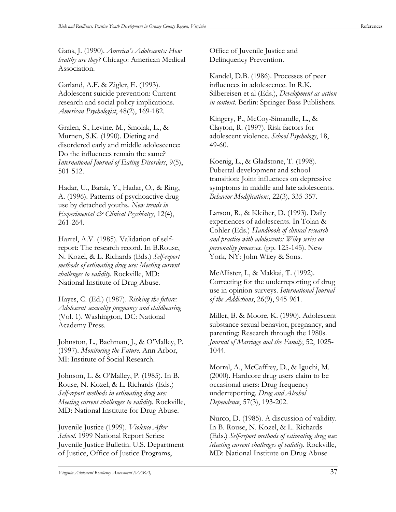Gans, J. (1990). *America's Adolescents: How healthy are they?* Chicago: American Medical Association.

Garland, A.F. & Zigler, E. (1993). Adolescent suicide prevention: Current research and social policy implications. *American Psychologist*, 48(2), 169-182.

Gralen, S., Levine, M., Smolak, L., & Murnen, S.K. (1990). Dieting and disordered early and middle adolescence: Do the influences remain the same? *International Journal of Eating Disorders*, 9(5), 501-512.

Hadar, U., Barak, Y., Hadar, O., & Ring, A. (1996). Patterns of psychoactive drug use by detached youths. *New trends in Experimental & Clinical Psychiatry*, 12(4), 261-264.

Harrel, A.V. (1985). Validation of selfreport: The research record. In B.Rouse, N. Kozel, & L. Richards (Eds.) *Self-report methods of estimating drug use: Meeting current challenges to validity.* Rockville, MD: National Institute of Drug Abuse.

Hayes, C. (Ed.) (1987). *Risking the future: Adolescent sexuality pregnancy and childbearing* (Vol. 1). Washington, DC: National Academy Press.

Johnston, L., Bachman, J., & O'Malley, P. (1997). *Monitoring the Future*. Ann Arbor, MI: Institute of Social Research.

Johnson, L. & O'Malley, P. (1985). In B. Rouse, N. Kozel, & L. Richards (Eds.) *Self-report methods in estimating drug use: Meeting current challenges to validity.* Rockville, MD: National Institute for Drug Abuse.

Juvenile Justice (1999). *Violence After School*. 1999 National Report Series: Juvenile Justice Bulletin. U.S. Department of Justice, Office of Justice Programs,

Office of Juvenile Justice and Delinquency Prevention.

Kandel, D.B. (1986). Processes of peer influences in adolescence. In R.K. Silbereisen et al (Eds.), *Development as action in context*. Berlin: Springer Bass Publishers.

Kingery, P., McCoy-Simandle, L., & Clayton, R. (1997). Risk factors for adolescent violence. *School Psychology*, 18, 49-60.

Koenig, L., & Gladstone, T. (1998). Pubertal development and school transition: Joint influences on depressive symptoms in middle and late adolescents. *Behavior Modifications*, 22(3), 335-357.

Larson, R., & Kleiber, D. (1993). Daily experiences of adolescents. In Tolan & Cohler (Eds.) *Handbook of clinical research and practice with adolescents: Wiley series on personality processes.* (pp. 125-145). New York, NY: John Wiley & Sons.

McAllister, I., & Makkai, T. (1992). Correcting for the underreporting of drug use in opinion surveys. *International Journal of the Addictions*, 26(9), 945-961.

Miller, B. & Moore, K. (1990). Adolescent substance sexual behavior, pregnancy, and parenting: Research through the 1980s. *Journal of Marriage and the Family*, 52, 1025- 1044.

Morral, A., McCaffrey, D., & Iguchi, M. (2000). Hardcore drug users claim to be occasional users: Drug frequency underreporting. *Drug and Alcohol Dependence*, 57(3), 193-202.

Nurco, D. (1985). A discussion of validity. In B. Rouse, N. Kozel, & L. Richards (Eds.) *Self-report methods of estimating drug use: Meeting current challenges of validity.* Rockville, MD: National Institute on Drug Abuse